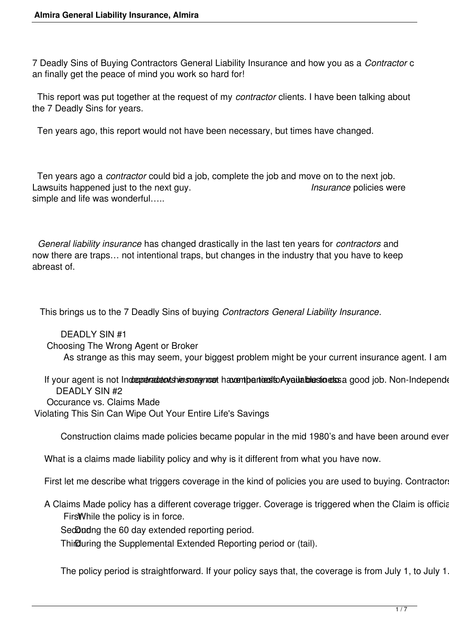7 Deadly Sins of Buying Contractors General Liability Insurance and how you as a *Contractor* c an finally get the peace of mind you work so hard for!

 This report was put together at the request of my *contractor* clients. I have been talking about the 7 Deadly Sins for years.

Ten years ago, this report would not have been necessary, but times have changed.

 Ten years ago a *contractor* could bid a job, complete the job and move on to the next job. Lawsuits happened just to the next guy. *Insurance* policies were simple and life was wonderful…..

 *General liability insurance* has changed drastically in the last ten years for *contractors* and now there are traps… not intentional traps, but changes in the industry that you have to keep abreast of.

This brings us to the 7 Deadly Sins of buying *Contractors General Liability Insurance*.

 DEADLY SIN #1 Choosing The Wrong Agent or Broker As strange as this may seem, your biggest problem might be your current insurance agent. I am

If your agent is not Indreprenadent shiers or agriced havent particularly attached to essay good job. Non-Independent DEADLY SIN #2 Occurance vs. Claims Made Violating This Sin Can Wipe Out Your Entire Life's Savings

Construction claims made policies became popular in the mid 1980's and have been around ever

What is a claims made liability policy and why is it different from what you have now.

First let me describe what triggers coverage in the kind of policies you are used to buying. Contractor

A Claims Made policy has a different coverage trigger. Coverage is triggered when the Claim is official Firs While the policy is in force.

SedDudng the 60 day extended reporting period.

Third Uuring the Supplemental Extended Reporting period or (tail).

The policy period is straightforward. If your policy says that, the coverage is from July 1, to July 1.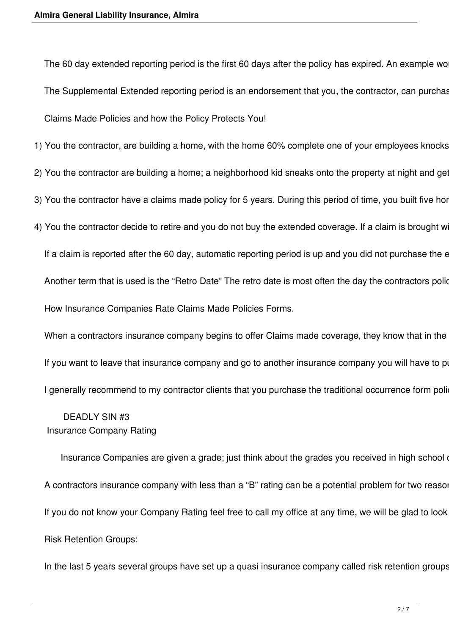The 60 day extended reporting period is the first 60 days after the policy has expired. An example wo The Supplemental Extended reporting period is an endorsement that you, the contractor, can purchas Claims Made Policies and how the Policy Protects You!

1) You the contractor, are building a home, with the home 60% complete one of your employees knocks

- 2) You the contractor are building a home; a neighborhood kid sneaks onto the property at night and get
- 3) You the contractor have a claims made policy for 5 years. During this period of time, you built five hor
- 4) You the contractor decide to retire and you do not buy the extended coverage. If a claim is brought w

If a claim is reported after the 60 day, automatic reporting period is up and you did not purchase the e Another term that is used is the "Retro Date" The retro date is most often the day the contractors police How Insurance Companies Rate Claims Made Policies Forms.

When a contractors insurance company begins to offer Claims made coverage, they know that in the If you want to leave that insurance company and go to another insurance company you will have to po I generally recommend to my contractor clients that you purchase the traditional occurrence form poli-

## DEADLY SIN #3 Insurance Company Rating

Insurance Companies are given a grade; just think about the grades you received in high school or college. A,B,C,D,F. Insurance Companies are given a grade; just think about the grades you received in high school A contractors insurance company with less than a "B" rating can be a potential problem for two reasor If you do not know your Company Rating feel free to call my office at any time, we will be glad to look Risk Retention Groups:

In the last 5 years several groups have set up a quasi insurance company called risk retention groups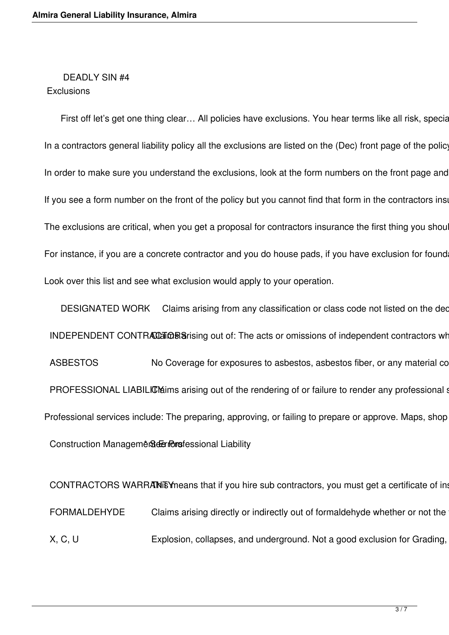#### DEADLY SIN #4 **Exclusions**

First off let's get one thing clear... All policies have exclusions. You hear terms like all risk, special form, comprehensive, full contain the are not mean there are no exclusions. There are no exclusions. There are no e In a contractors general liability policy all the exclusions are listed on the (Dec) front page of the policy In order to make sure you understand the exclusions, look at the form numbers on the front page and If you see a form number on the front of the policy but you cannot find that form in the contractors insection The exclusions are critical, when you get a proposal for contractors insurance the first thing you shou For instance, if you are a concrete contractor and you do house pads, if you have exclusion for found Look over this list and see what exclusion would apply to your operation.

DESIGNATED WORK Claims arising from any classification or class code not listed on the dec INDEPENDENT CONTRACCER Sarising out of: The acts or omissions of independent contractors wh ASBESTOS No Coverage for exposures to asbestos, asbestos fiber, or any material co PROFESSIONAL LIABILICM arising out of the rendering of or failure to render any professional state. Professional services include: The preparing, approving, or failing to prepare or approve. Maps, shop Construction Management Gerriors fessional Liability

CONTRACTORS WARRANEY means that if you hire sub contractors, you must get a certificate of in FORMALDEHYDE Claims arising directly or indirectly out of formaldehyde whether or not the X, C, U Explosion, collapses, and underground. Not a good exclusion for Grading,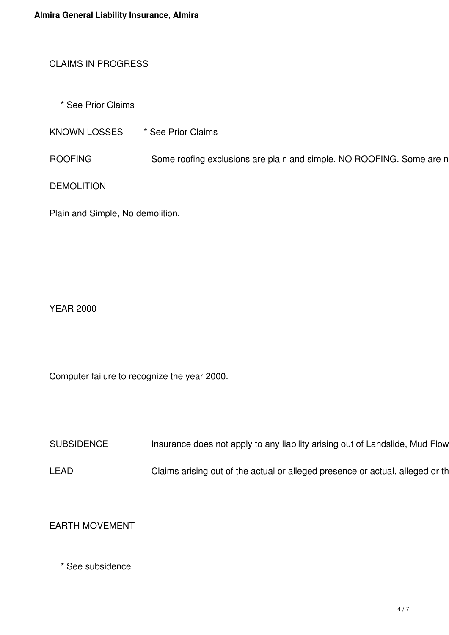# CLAIMS IN PROGRESS

\* See Prior Claims

KNOWN LOSSES \* See Prior Claims

ROOFING Some roofing exclusions are plain and simple. NO ROOFING. Some are n

DEMOLITION

Plain and Simple, No demolition.

YEAR 2000

Computer failure to recognize the year 2000.

SUBSIDENCE Insurance does not apply to any liability arising out of Landslide, Mud Flow

LEAD Claims arising out of the actual or alleged presence or actual, alleged or th

EARTH MOVEMENT

\* See subsidence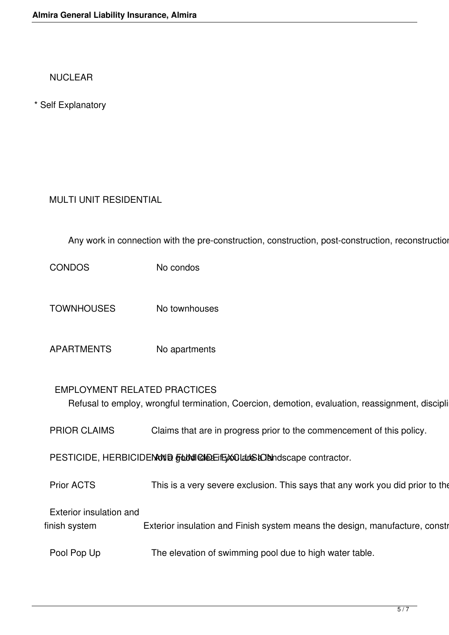NUCLEAR

\* Self Explanatory

# MULTI UNIT RESIDENTIAL

Any work in connection with the pre-construction, construction, post-construction, reconstruction

CONDOS No condos

- TOWNHOUSES No townhouses
- APARTMENTS No apartments

#### EMPLOYMENT RELATED PRACTICES

Refusal to employ, wrongful termination, Coercion, demotion, evaluation, reassignment, discipli

PRIOR CLAIMS Claims that are in progress prior to the commencement of this policy.

PESTICIDE, HERBICIDENNING FUNICIDE EXCLUSION Not accept contractor.

Prior ACTS This is a very severe exclusion. This says that any work you did prior to the

Exterior insulation and

finish system Exterior insulation and Finish system means the design, manufacture, constr

Pool Pop Up The elevation of swimming pool due to high water table.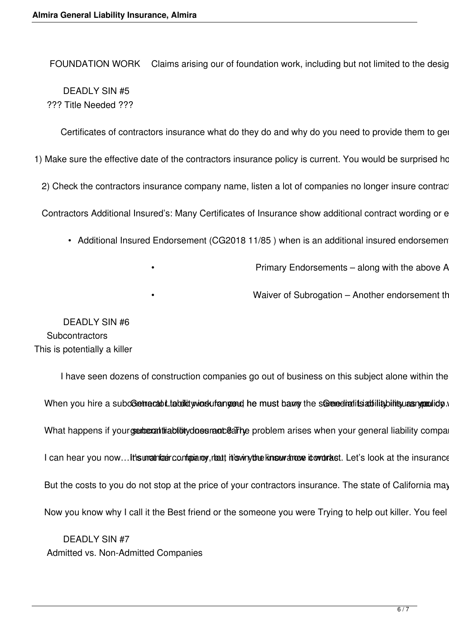FOUNDATION WORK Claims arising our of foundation work, including but not limited to the desig DEADLY SIN #5 ??? Title Needed ???

Certificates of contractors insurance what do they do and why do you need to provide them to ge

1) Make sure the effective date of the contractors insurance policy is current. You would be surprised ho

2) Check the contractors insurance company name, listen a lot of companies no longer insure contrac

Contractors Additional Insured's: Many Certificates of Insurance show additional contract wording or e

- Additional Insured Endorsement (CG2018 11/85) when is an additional insured endorsemen
	-

Primary Endorsements - along with the above A

Waiver of Subrogation – Another endorsement th

 DEADLY SIN #6 **Subcontractors** This is potentially a killer

I have seen dozens of construction companies go out of business on this subject alone within the When you hire a subcoetracabilitiquid winds uf angend he must barry the senered ratits at iliability bility as What happens if yourgemerativability does randearing problem arises when your general liability compa I can hear you now...It is unatrized configurative, that this winy the know drove it over tast. Let's look at the insurance But the costs to you do not stop at the price of your contractors insurance. The state of California may Now you know why I call it the Best friend or the someone you were Trying to help out killer. You feel

 DEADLY SIN #7 Admitted vs. Non-Admitted Companies